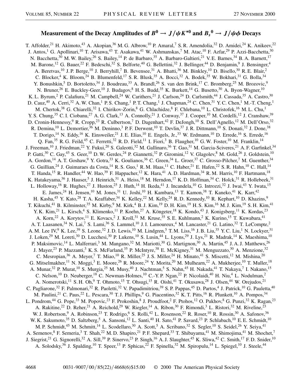## Measurement of the Decay Amplitudes of  $B^0 \to J/\psi K^{*0}$  and  $B_s{}^0 \to J/\psi \phi$  Decays

T. Affolder,<sup>21</sup> H. Akimoto,<sup>43</sup> A. Akopian,<sup>36</sup> M. G. Albrow,<sup>10</sup> P. Amaral,<sup>7</sup> S. R. Amendolia,<sup>32</sup> D. Amidei,<sup>24</sup> K. Anikeev,<sup>22</sup> J. Antos,<sup>1</sup> G. Apollinari,<sup>10</sup> T. Arisawa,<sup>43</sup> T. Asakawa,<sup>41</sup> W. Ashmanskas,<sup>7</sup> M. Atac,<sup>10</sup> F. Azfar,<sup>29</sup> P. Azzi-Bacchetta,<sup>30</sup> N. Bacchetta,<sup>30</sup> M. W. Bailey,<sup>26</sup> S. Bailey,<sup>14</sup> P. de Barbaro,<sup>35</sup> A. Barbaro-Galtieri,<sup>21</sup> V. E. Barnes,<sup>34</sup> B. A. Barnett,<sup>17</sup> M. Bacchetti, M. W. Baner,<sup>22</sup> F. Bedeschi,<sup>32</sup> S. Belforte,<sup>40</sup> G. Bellettini,<sup>32</sup> J. Bellinger,<sup>44</sup> D. Benjamin,<sup>9</sup> J. Bensinger,<sup>4</sup> A. Beretvas,<sup>10</sup> J. P. Berge,<sup>10</sup> J. Berryhill,<sup>7</sup> B. Bevensee,<sup>31</sup> A. Bhatti,<sup>36</sup> M. Binkley,<sup>10</sup> D. Bisello,<sup>30</sup> R. E. Blair,<sup>2</sup> C. Blocker,<sup>4</sup> K. Bloom,<sup>24</sup> B. Blumenfeld,<sup>17</sup> S. R. Blusk,<sup>35</sup> A. Bocci,<sup>32</sup> A. Bodek,<sup>35</sup> W. Bokhari,<sup>31</sup> G. Bolla,<sup>34</sup> Y. Bonushkin,<sup>5</sup> D. Bortoletto,<sup>34</sup> J. Boudreau,<sup>33</sup> A. Brandl,<sup>26</sup> S. van den Brink,<sup>17</sup> C. Bromberg,<sup>25</sup> M. Brozovic,<sup>9</sup> N. Bruner,<sup>26</sup> E. Buckley-Geer,<sup>10</sup> J. Budagov,<sup>8</sup> H. S. Budd,<sup>35</sup> K. Burkett,<sup>14</sup> G. Busetto,<sup>30</sup> A. Byon-Wagner,<sup>10</sup> K. L. Byrum,<sup>2</sup> P. Calafiura,<sup>21</sup> M. Campbell,<sup>24</sup> W. Carithers,<sup>21</sup> J. Carlson,<sup>24</sup> D. Carlsmith,<sup>44</sup> J. Cassada,<sup>35</sup> A. Castro,<sup>30</sup> D. Cauz,<sup>40</sup> A. Cerri,<sup>32</sup> A. W. Chan,<sup>1</sup> P. S. Chang,<sup>1</sup> P. T. Chang,<sup>1</sup> J. Chapman,<sup>24</sup> C. Chen,<sup>31</sup> Y. C. Chen,<sup>1</sup> M.-T. Cheng,<sup>1</sup> M. Chertok,<sup>38</sup> G. Chiarelli,<sup>32</sup> I. Chirikov-Zorin,<sup>8</sup> G. Chlachidze,<sup>8</sup> F. Chlebana,<sup>10</sup> L. Christofek,<sup>16</sup> M. L. Chu,<sup>1</sup> Y. S. Chung,<sup>35</sup> C. I. Ciobanu,<sup>27</sup> A. G. Clark,<sup>13</sup> A. Connolly,<sup>21</sup> J. Conway,<sup>37</sup> J. Cooper,<sup>10</sup> M. Cordelli,<sup>12</sup> J. Cranshaw,<sup>39</sup> D. Cronin-Hennessy, <sup>9</sup> R. Cropp, <sup>23</sup> R. Culbertson, <sup>7</sup> D. Dagenhart, <sup>42</sup> F. DeJongh, <sup>10</sup> S. Dell'Agnello, <sup>12</sup> M. Dell'Orso, <sup>32</sup> R. Demina,<sup>10</sup> L. Demortier,<sup>36</sup> M. Deninno,<sup>3</sup> P. F. Derwent,<sup>10</sup> T. Devlin,<sup>37</sup> J. R. Dittmann,<sup>10</sup> S. Donati,<sup>32</sup> J. Done,<sup>38</sup> T. Dorigo,<sup>14</sup> N. Eddy,<sup>16</sup> K. Einsweiler,<sup>21</sup> J. E. Elias,<sup>10</sup> E. Engels, Jr.,<sup>33</sup> W. Erdmann,<sup>10</sup> D. Errede,<sup>16</sup> S. Errede,<sup>16</sup> Q. Fan,<sup>35</sup> R. G. Feild,<sup>45</sup> C. Ferretti,<sup>32</sup> R. D. Field,<sup>11</sup> I. Fiori,<sup>3</sup> B. Flaugher,<sup>10</sup> G. W. Foster,<sup>10</sup> M. Franklin,<sup>14</sup> J. Freeman,<sup>10</sup> J. Friedman,<sup>22</sup> Y. Fukui,<sup>20</sup> S. Galeotti,<sup>32</sup> M. Gallinaro,<sup>36</sup> T. Gao,<sup>31</sup> M. Garcia-Sciveres,<sup>21</sup> A. F. Garfinkel,<sup>34</sup> P. Gatti,<sup>30</sup> C. Gay,<sup>45</sup> S. Geer,<sup>10</sup> D. W. Gerdes,<sup>24</sup> P. Giannetti,<sup>32</sup> P. Giromini,<sup>12</sup> V. Glagolev,<sup>8</sup> M. Gold,<sup>26</sup> J. Goldstein,<sup>10</sup> A. Gordon,<sup>14</sup> A. T. Goshaw,<sup>9</sup> Y. Gotra,<sup>33</sup> K. Goulianos,<sup>36</sup> C. Green,<sup>34</sup> L. Groer,<sup>37</sup> C. Grosso-Pilcher,<sup>7</sup> M. Guenther,<sup>34</sup> G. Guillian,<sup>24</sup> J. Guimaraes da Costa,<sup>14</sup> R. S. Guo,<sup>1</sup> R. M. Haas,<sup>11</sup> C. Haber,<sup>21</sup> E. Hafen,<sup>22</sup> S. R. Hahn,<sup>10</sup> C. Hall,<sup>14</sup> T. Handa,<sup>15</sup> R. Handler,<sup>44</sup> W. Hao,<sup>39</sup> F. Happacher,<sup>12</sup> K. Hara,<sup>41</sup> A. D. Hardman,<sup>34</sup> R. M. Harris,<sup>10</sup> F. Hartmann,<sup>18</sup> K. Hatakeyama,<sup>36</sup> J. Hauser,<sup>5</sup> J. Heinrich,<sup>31</sup> A. Heiss,<sup>18</sup> M. Herndon,<sup>17</sup> K.D. Hoffman,<sup>34</sup> C. Holck,<sup>31</sup> R. Hollebeek,<sup>31</sup> L. Holloway,<sup>16</sup> R. Hughes,<sup>27</sup> J. Huston,<sup>25</sup> J. Huth,<sup>14</sup> H. Ikeda,<sup>41</sup> J. Incandela,<sup>10</sup> G. Introzzi,<sup>32</sup> J. Iwai,<sup>43</sup> Y. Iwata,<sup>15</sup> E. James,<sup>24</sup> H. Jensen,<sup>10</sup> M. Jones,<sup>31</sup> U. Joshi,<sup>10</sup> H. Kambara,<sup>13</sup> T. Kamon,<sup>38</sup> T. Kaneko,<sup>41</sup> K. Karr,<sup>42</sup> H. Kasha,<sup>45</sup> Y. Kato,<sup>28</sup> T. A. Keaffaber,<sup>34</sup> K. Kelley,<sup>22</sup> M. Kelly,<sup>24</sup> R. D. Kennedy,<sup>10</sup> R. Kephart,<sup>10</sup> D. Khazins,<sup>9</sup> T. Kikuchi,<sup>41</sup> B. Kilminster,<sup>35</sup> M. Kirby,<sup>9</sup> M. Kirk,<sup>4</sup> B. J. Kim,<sup>19</sup> D. H. Kim,<sup>19</sup> H. S. Kim,<sup>16</sup> M. J. Kim,<sup>19</sup> S. H. Kim,<sup>41</sup> Y. K. Kim,<sup>21</sup> L. Kirsch,<sup>4</sup> S. Klimenko,<sup>11</sup> P. Koehn,<sup>27</sup> A. Köngeter,<sup>18</sup> K. Kondo,<sup>43</sup> J. Konigsberg,<sup>11</sup> K. Kordas,<sup>23</sup> A. Korn,<sup>22</sup> A. Korytov,<sup>11</sup> E. Kovacs,<sup>2</sup> J. Kroll,<sup>31</sup> M. Kruse,<sup>35</sup> S. E. Kuhlmann,<sup>2</sup> K. Kurino,<sup>15</sup> T. Kuwabara,<sup>41</sup> A. T. Laasanen,<sup>34</sup> N. Lai,<sup>7</sup> S. Lami,<sup>36</sup> S. Lammel,<sup>10</sup> J. I. Lamoureux,<sup>4</sup> M. Lancaster,<sup>21</sup> G. Latino,<sup>32</sup> T. LeCompte,<sup>2</sup> A. M. Lee IV, K. Lee, <sup>39</sup> S. Leone, <sup>32</sup> J. D. Lewis, <sup>10</sup> M. Lindgren, <sup>5</sup> T. M. Liss, <sup>16</sup> J. B. Liu,<sup>35</sup> Y. C. Liu,<sup>1</sup> N. Lockyer, <sup>31</sup> J. Loken,<sup>29</sup> M. Loreti,<sup>30</sup> D. Lucchesi,<sup>30</sup> P. Lukens,<sup>10</sup> S. Lusin,<sup>44</sup> L. Lyons,<sup>29</sup> J. Lys,<sup>21</sup> R. Madrak,<sup>14</sup> K. Maeshima,<sup>10</sup> P. Maksimovic,<sup>14</sup> L. Malferrari,<sup>3</sup> M. Mangano,<sup>32</sup> M. Mariotti,<sup>30</sup> G. Martignon,<sup>30</sup> A. Martin,<sup>45</sup> J. A. J. Matthews,<sup>26</sup> J. Mayer,<sup>23</sup> P. Mazzanti,<sup>3</sup> K. S. McFarland,<sup>35</sup> P. McIntyre,<sup>38</sup> E. McKigney,<sup>31</sup> M. Menguzzato,<sup>30</sup> A. Menzione,<sup>32</sup> C. Mesropian,<sup>36</sup> A. Meyer,<sup>7</sup> T. Miao,<sup>10</sup> R. Miller,<sup>25</sup> J. S. Miller,<sup>24</sup> H. Minato,<sup>41</sup> S. Miscetti,<sup>12</sup> M. Mishina,<sup>20</sup> G. Mitselmakher,<sup>11</sup> N. Moggi,<sup>3</sup> E. Moore,<sup>26</sup> R. Moore,<sup>24</sup> Y. Morita,<sup>20</sup> M. Mulhearn,<sup>22</sup> A. Mukherjee,<sup>10</sup> T. Muller,<sup>18</sup> A. Munar,<sup>32</sup> P. Murat,<sup>10</sup> S. Murgia,<sup>25</sup> M. Musy,<sup>40</sup> J. Nachtman,<sup>5</sup> S. Nahn,<sup>45</sup> H. Nakada,<sup>41</sup> T. Nakaya,<sup>7</sup> I. Nakano,<sup>15</sup> C. Nelson,<sup>10</sup> D. Neuberger,<sup>18</sup> C. Newman-Holmes,<sup>10</sup> C.-Y. P. Ngan,<sup>22</sup> P. Nicolaidi,<sup>40</sup> H. Niu,<sup>4</sup> L. Nodulman,<sup>2</sup> A. Nomerotski,<sup>11</sup> S. H. Oh,<sup>9</sup> T. Ohmoto,<sup>15</sup> T. Ohsugi,<sup>15</sup> R. Oishi,<sup>41</sup> T. Okusawa,<sup>28</sup> J. Olsen,<sup>44</sup> W. Orejudos,<sup>21</sup> C. Pagliarone,<sup>32</sup> F. Palmonari,<sup>32</sup> R. Paoletti,<sup>32</sup> V. Papadimitriou,<sup>39</sup> S.P. Pappas,<sup>45</sup> D. Partos,<sup>4</sup> J. Patrick,<sup>10</sup> G. Pauletta,<sup>40</sup> M. Paulini,<sup>21</sup> C. Paus,<sup>22</sup> L. Pescara,<sup>30</sup> T. J. Phillips,<sup>9</sup> G. Piacentino,<sup>32</sup> K. T. Pitts,<sup>16</sup> R. Plunkett,<sup>10</sup> A. Pompos,<sup>34</sup> L. Pondrom,<sup>44</sup> G. Pope,<sup>33</sup> M. Popovic,<sup>23</sup> F. Prokoshin,<sup>8</sup> J. Proudfoot,<sup>2</sup> F. Ptohos,<sup>12</sup> O. Pukhov,<sup>8</sup> G. Punzi,<sup>32</sup> K. Ragan,<sup>23</sup> A. Rakitine,<sup>22</sup> D. Reher,<sup>21</sup> A. Reichold,<sup>29</sup> W. Riegler,<sup>14</sup> A. Ribon,<sup>30</sup> F. Rimondi,<sup>3</sup> L. Ristori,<sup>32</sup> M. Riveline,<sup>23</sup> W. J. Robertson,<sup>9</sup> A. Robinson,<sup>23</sup> T. Rodrigo,<sup>6</sup> S. Rolli,<sup>42</sup> L. Rosenson,<sup>22</sup> R. Roser,<sup>10</sup> R. Rossin,<sup>30</sup> A. Safonov,<sup>36</sup> W. K. Sakumoto,<sup>35</sup> D. Saltzberg,<sup>5</sup> A. Sansoni,<sup>12</sup> L. Santi,<sup>40</sup> H. Sato,<sup>41</sup> P. Savard,<sup>23</sup> P. Schlabach,<sup>10</sup> E. E. Schmidt,<sup>10</sup> M. P. Schmidt,<sup>45</sup> M. Schmitt,<sup>14</sup> L. Scodellaro,<sup>30</sup> A. Scott,<sup>5</sup> A. Scribano,<sup>32</sup> S. Segler,<sup>10</sup> S. Seidel,<sup>26</sup> Y. Seiya,<sup>41</sup> A. Semenov, <sup>8</sup> F. Semeria, <sup>3</sup> T. Shah, <sup>22</sup> M. D. Shapiro, <sup>21</sup> P. F. Shepard, <sup>33</sup> T. Shibayama, <sup>41</sup> M. Shimojima, <sup>41</sup> M. Shochet, <sup>7</sup> J. Siegrist,<sup>21</sup> G. Signorelli,<sup>32</sup> A. Sill,<sup>39</sup> P. Sinervo,<sup>23</sup> P. Singh,<sup>16</sup> A. J. Slaughter,<sup>45</sup> K. Sliwa,<sup>42</sup> C. Smith,<sup>17</sup> F. D. Snider,<sup>10</sup> A. Solodsky,<sup>36</sup> J. Spalding,<sup>10</sup> T. Speer,<sup>13</sup> P. Sphicas,<sup>22</sup> F. Spinella,<sup>32</sup> M. Spiropulu,<sup>14</sup> L. Spiegel,<sup>10</sup> J. Steele,<sup>44</sup>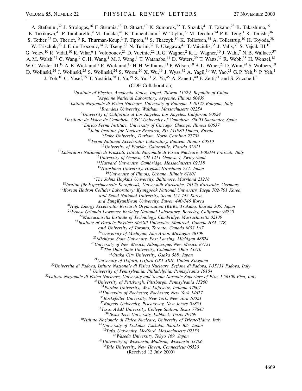A. Stefanini,<sup>32</sup> J. Strologas,<sup>16</sup> F. Strumia,<sup>13</sup> D. Stuart,<sup>10</sup> K. Sumorok,<sup>22</sup> T. Suzuki,<sup>41</sup> T. Takano,<sup>28</sup> R. Takashima,<sup>15</sup> K. Takikawa,<sup>41</sup> P. Tamburello,<sup>9</sup> M. Tanaka,<sup>41</sup> B. Tannenbaum,<sup>5</sup> W. Taylor,<sup>23</sup> M. Tecchio,<sup>24</sup> P. K. Teng,<sup>1</sup> K. Terashi,<sup>36</sup> S. Tether,<sup>22</sup> D. Theriot,<sup>10</sup> R. Thurman-Keup,<sup>2</sup> P. Tipton,<sup>35</sup> S. Tkaczyk,<sup>10</sup> K. Tollefson,<sup>35</sup> A. Tollestrup,<sup>10</sup> H. Toyoda,<sup>28</sup> W. Trischuk,<sup>23</sup> J. F. de Troconiz,<sup>14</sup> J. Tseng,<sup>22</sup> N. Turini,<sup>32</sup> F. Ukegawa,<sup>41</sup> T. Vaiciulis,<sup>35</sup> J. Valls,<sup>37</sup> S. Vejcik III,<sup>10</sup> G. Velev,<sup>10</sup> R. Vidal,<sup>10</sup> R. Vilar,<sup>6</sup> I. Volobouev,<sup>21</sup> D. Vucinic,<sup>22</sup> R. G. Wagner,<sup>2</sup> R. L. Wagner,<sup>10</sup> J. Wahl,<sup>7</sup> N. B. Wallace,<sup>37</sup> A. M. Walsh,<sup>37</sup> C. Wang,<sup>9</sup> C. H. Wang,<sup>1</sup> M. J. Wang,<sup>1</sup> T. Watanabe,<sup>41</sup> D. Waters,<sup>29</sup> T. Watts,<sup>37</sup> R. Webb,<sup>38</sup> H. Wenzel,<sup>18</sup> W. C. Wester III,<sup>10</sup> A. B. Wicklund,<sup>2</sup> E. Wicklund,<sup>10</sup> H. H. Williams,<sup>31</sup> P. Wilson,<sup>10</sup> B. L. Winer,<sup>27</sup> D. Winn,<sup>24</sup> S. Wolbers,<sup>10</sup> D. Wolinski,<sup>24</sup> J. Wolinski,<sup>25</sup> S. Wolinski,<sup>24</sup> S. Worm,<sup>26</sup> X. Wu,<sup>13</sup> J. Wyss,<sup>32</sup> A. Yagil,<sup>10</sup> W. Yao,<sup>21</sup> G. P. Yeh,<sup>10</sup> P. Yeh,<sup>1</sup> J. Yoh,<sup>10</sup> C. Yosef,<sup>25</sup> T. Yoshida,<sup>28</sup> I. Yu,<sup>19</sup> S. Yu,<sup>31</sup> Z. Yu,<sup>45</sup> A. Zanetti,<sup>40</sup> F. Zetti,<sup>21</sup> and S. Zucchelli<sup>3</sup>

(CDF Collaboration)

*Institute of Physics, Academia Sinica, Taipei, Taiwan 11529, Republic of China*

*Argonne National Laboratory, Argonne, Illinois 60439*

*Istituto Nazionale di Fisica Nucleare, University of Bologna, I-40127 Bologna, Italy*

*Brandeis University, Waltham, Massachusetts 02254*

*University of California at Los Angeles, Los Angeles, California 90024*

*Instituto de Fisica de Cantabria, CSIC-University of Cantabria, 39005 Santander, Spain*

*Enrico Fermi Institute, University of Chicago, Chicago, Illinois 60637*

*Joint Institute for Nuclear Research, RU-141980 Dubna, Russia*

*Duke University, Durham, North Carolina 27708*

*Fermi National Accelerator Laboratory, Batavia, Illinois 60510*

*University of Florida, Gainesville, Florida 32611*

*Laboratori Nazionali di Frascati, Istituto Nazionale di Fisica Nucleare, I-00044 Frascati, Italy*

*University of Geneva, CH-1211 Geneva 4, Switzerland*

*Harvard University, Cambridge, Massachusetts 02138*

*Hiroshima University, Higashi-Hiroshima 724, Japan*

*University of Illinois, Urbana, Illinois 61801*

*The Johns Hopkins University, Baltimore, Maryland 21218*

*Institut für Experimentelle Kernphysik, Universität Karlsruhe, 76128 Karlsruhe, Germany*

*Korean Hadron Collider Laboratory: Kyungpook National University, Taegu 702-701 Korea,*

*and Seoul National University, Seoul 151-742 Korea,*

*and SungKyunKwan University, Suwon 440-746 Korea*

*High Energy Accelerator Research Organization (KEK), Tsukuba, Ibaraki 305, Japan*

*Ernest Orlando Lawrence Berkeley National Laboratory, Berkeley, California 94720*

*Massachusetts Institute of Technology, Cambridge, Massachusetts 02139*

*Institute of Particle Physics: McGill University, Montreal, Canada H3A 2T8,*

*and University of Toronto, Toronto, Canada M5S 1A7*

*University of Michigan, Ann Arbor, Michigan 48109*

*Michigan State University, East Lansing, Michigan 48824*

*University of New Mexico, Albuquerque, New Mexico 87131*

*The Ohio State University, Columbus, Ohio 43210*

*Osaka City University, Osaka 588, Japan*

*University of Oxford, Oxford OX1 3RH, United Kingdom*

*Universita di Padova, Istituto Nazionale di Fisica Nucleare, Sezione di Padova, I-35131 Padova, Italy*

*University of Pennsylvania, Philadelphia, Pennsylvania 19104*

*Istituto Nazionale di Fisica Nucleare, University and Scuola Normale Superiore of Pisa, I-56100 Pisa, Italy*

*University of Pittsburgh, Pittsburgh, Pennsylvania 15260*

*Purdue University, West Lafayette, Indiana 47907*

*University of Rochester, Rochester, New York 14627*

*Rockefeller University, New York, New York 10021*

*Rutgers University, Piscataway, New Jersey 08855*

*Texas A&M University, College Station, Texas 77843*

*Texas Tech University, Lubbock, Texas 79409*

*Istituto Nazionale di Fisica Nucleare, University of Trieste/Udine, Italy*

*University of Tsukuba, Tsukuba, Ibaraki 305, Japan*

*Tufts University, Medford, Massachusetts 02155*

*Waseda University, Tokyo 169, Japan*

*University of Wisconsin, Madison, Wisconsin 53706*

*Yale University, New Haven, Connecticut 06520*

(Received 12 July 2000)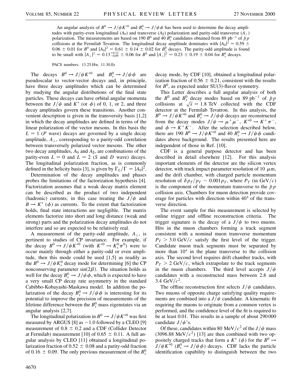An angular analysis of  $B^0 \to J/\psi K^{*0}$  and  $B^0_s \to J/\psi \phi$  has been used to determine the decay amplitudes with parity-even longitudinal  $(A_0)$  and transverse  $(A_{\parallel})$  polarization and parity-odd transverse  $(A_{\perp})$ polarization. The measurements are based on 190  $B^0$  and 40  $B_s^0$  candidates obtained from 89  $pb^{-1}$  of  $\bar{p}p$ collisions at the Fermilab Tevatron. The longitudinal decay amplitude dominates with  $|A_0|^2 = 0.59 \pm 0.59$  $0.06 \pm 0.01$  for  $B^0$  and  $|A_0|^2 = 0.61 \pm 0.14 \pm 0.02$  for  $B_s^0$  decays. The parity-odd amplitude is found to be small with  $|A_{\perp}|^2 = 0.13^{+0.12}_{-0.09} \pm 0.06$  for  $B^0$  and  $|A_{\perp}|^2 = 0.23 \pm 0.19 \pm 0.04$  for  $B_s^0$  decays.

PACS numbers: 13.25.Hw, 11.30.Er

The decays  $B^0 \to J/\psi K^{*0}$  and  $B_s^0 \to J/\psi \phi$  are pseudoscalar to vector-vector decays and, in principle, have three decay amplitudes which can be determined by studying the angular distributions of the final state particles. These decays can have orbital angular momenta between the  $J/\psi$  and  $K^*$  (or  $\phi$ ) of 0, 1, or 2, and three decay amplitudes govern these transitions. Another convenient description is given in the transversity basis [1,2] in which the decay amplitudes are defined in terms of the linear polarization of the vector mesons. In this basis the  $L = 1$  (*P* wave) decays are governed by a single decay amplitude,  $A_{\perp}$ , corresponding to a parity-odd correlation between transversely polarized vector mesons. The other two decay amplitudes,  $A_0$  and  $A_{\parallel}$ , are combinations of the parity-even  $L = 0$  and  $L = 2$  (*S* and *D* wave) decays. The longitudinal polarization fraction, as is commonly defined in the helicity basis [3], is given by  $\Gamma_L/\Gamma = |A_0|^2$ .

Determination of the decay amplitudes and phases probes the limitations of the factorization hypothesis [4]. Factorization assumes that a weak decay matrix element can be described as the product of two independent (hadronic) currents, in this case treating the  $J/\psi$  and  $B \to K^*$  ( $\phi$ ) as currents. To the extent that factorization holds, final state interactions are negligible. The matrix elements factorize into short and long distance (weak and strong) parts and the polarization decay amplitudes do not interfere and so are expected to be relatively real.

A measurement of the parity-odd amplitude,  $A_{\perp}$ , is pertinent to studies of CP invariance. For example, if the decay  $B^0 \to J/\psi K^{*0}$  (with  $K^{*0} \to K_s^0 \pi^0$ ) were to occur mainly through either a parity-odd or even amplitude, then this mode could be used [1,5] as readily as the  $B^0 \rightarrow J/\psi K_s^0$  decay mode for determining [6] the CP nonconserving parameter  $sin(2\beta)$ . The situation holds as well for the decay  $B_s^0 \rightarrow J/\psi \phi$ , which is expected to have a very small CP decay rate asymmetry in the standard Cabibbo-Kobayashi-Maskawa model. In addition the polarization of the decay  $B_s^0 \rightarrow J/\psi \phi$  is interesting for its potential to improve the precision of measurements of the lifetime difference between the  $B_s^0$  mass eigenstates via an angular analysis [2,7].

The longitudinal polarization in  $B^0 \to J/\psi K^{*0}$  was first measured by ARGUS [8] as  $\sim$  1.0 followed by a CLEO [9] measurement of  $0.8 \pm 0.2$  and a CDF (Collider Detector at Fermilab) measurement [10] of 0.65  $\pm$  0.11. A full angular analysis by CLEO [11] obtained a longitudinal polarization fraction of  $0.52 \pm 0.08$  and a parity-odd fraction of 0.16  $\pm$  0.09. The only previous measurement of the  $B_s^0$ 

decay mode, by CDF [10], obtained a longitudinal polarization fraction of  $0.56 \pm 0.21$ , consistent with the results for  $B^0$ , as expected under SU(3)-flavor symmetry.

This Letter describes a full angular analysis of both the  $B^0$  and  $B_s^0$  decay modes based on 89 pb<sup>-1</sup> of  $\bar{p}p$ collisions at  $\sqrt{s}$  = 1.8 TeV collected with the CDF detector at the Fermilab Tevatron. In this analysis, the  $B^0 \rightarrow J/\psi K^{*0}$  and  $B_s^0 \rightarrow J/\psi \phi$  decays are reconstructed from the decay modes  $J/\psi \rightarrow \mu^+ \mu^-$ ,  $K^{*0} \rightarrow K^+ \pi^-$ , and  $\phi \to K^+K^-$ . After the selection described below, there are 190  $B^0 \rightarrow J/\psi K^{*0}$  and 40  $B_s^0 \rightarrow J/\psi \phi$  candidates above background. The results presented here are independent of those in Ref. [10].

CDF is a general purpose detector and has been described in detail elsewhere [12]. For this analysis important elements of the detector are the silicon vertex detector, with track impact parameter resolution of 10  $\mu$ m, and the drift chamber, with charged particle momentum resolution of  $\delta p_T/p_T \sim 0.001 p_T$ , where  $P_T$  (in GeV/c) is the component of the momentum transverse to the  $\bar{p}p$ collision axis. Chambers for muon detection provide coverage for particles with direction within  $40^{\circ}$  of the transverse direction.

The event sample for this measurement is selected by online trigger and offline reconstruction criteria. The trigger signature is the decay of a  $J/\psi$  to two muons. Hits in the muon chambers forming a track segment consistent with a nominal muon transverse momentum  $P_T > 3.0$  GeV/c satisfy the first level of the trigger. Candidate muon track segments must be separated by more than  $10^{\circ}$  in the plane transverse to the collision axis. The second level requires drift chamber tracks, with  $P_T > 2 \text{ GeV}/c$ , which extrapolate to the track segments in the muon chambers. The third level accepts  $J/\psi$ candidates with a reconstructed mass between 2.8 and 3.4 GeV/ $c^2$ .

The offline reconstruction first selects  $J/\psi$  candidates. Two muons of opposite charge satisfying quality requirements are combined into a  $J/\psi$  candidate. A kinematic fit requiring the muons to originate from a common vertex is performed, and the confidence level of the fit is required to be at least 0.01. This results in a sample of about 290 000 candidate  $J/\psi$ 's.

Of these, candidates within 80 MeV/ $c^2$  of the *J*/ $\psi$  mass  $(3096.88 \text{ MeV}/c^2)$  [13] are then combined with two oppositely charged tracks that form a  $K^*$  ( $\phi$ ) for the  $B^0 \rightarrow$  $J/\psi K^{*0}$  ( $B_s^0 \rightarrow J/\psi \phi$ ) decays. CDF lacks the particle identification capability to distinguish between the two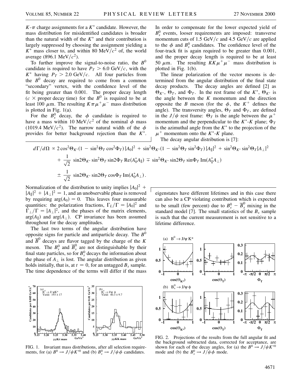$K-\pi$  charge assignments for a  $K^*$  candidate. However, the mass distribution for misidentified candidates is broader than the natural width of the  $K^*$  and their contribution is largely suppressed by choosing the assignment yielding a  $K^*$  mass closer to, and within 80 MeV/ $c^2$  of, the world average (896.1 MeV/ $c^2$ ).

To further improve the signal-to-noise ratio, the  $B^0$ candidate is required to have  $P_T > 6.0$  GeV/c, with the  $K^*$  having  $P_T > 2.0$  GeV/c. All four particles from the  $B^0$  decay are required to come from a common "secondary" vertex, with the confidence level of the fit being greater than 0.001. The proper decay length  $(c \times$  proper decay time) for the *B*<sup>0</sup> is required to be at least 100  $\mu$ m. The resulting  $K\pi\mu^{+}\mu^{-}$  mass distribution is plotted in Fig. 1(a).

For the  $B_s^0$  decay, the  $\phi$  candidate is required to have a mass within 10 MeV/ $c<sup>2</sup>$  of the nominal  $\phi$  mass (1019.4 MeV/ $c^2$ ). The narrow natural width of the  $\phi$ provides for better background rejection than the  $K^*$ . In order to compensate for the lower expected yield of  $B_s^0$  events, looser requirements are imposed: transverse momentum cuts of  $1.5 \text{ GeV}/c$  and  $4.5 \text{ GeV}/c$  are applied to the  $\phi$  and  $B_s^0$  candidates. The confidence level of the four-track fit is again required to be greater than 0.001, and the proper decay length is required to be at least 50  $\mu$ m. The resulting  $KK\mu^+\mu^-$  mass distribution is plotted in Fig. 1(b).

The linear polarization of the vector mesons is determined from the angular distribution of the final state decay products. The decay angles are defined [2] as  $\Theta_{K^*}$ ,  $\Theta_T$ , and  $\Phi_T$ . In the rest frame of the  $K^*$ ,  $\Theta_{K^*}$  is the angle between the *K* momentum and the direction opposite the *B* meson (for the  $\phi$ , the  $K^+$  defines the angle). The transversity angles,  $\Theta_T$  and  $\Phi_T$ , are defined in the  $J/\psi$  rest frame:  $\Theta_T$  is the angle between the  $\mu^+$ momentum and the perpendicular to the  $K^*$ - $K$  plane;  $\Phi_T$ is the azimuthal angle from the  $K^*$  to the projection of the  $\mu^+$  momentum onto the  $K^*$ - $K$  plane.

The decay angular distribution is [7]:

$$
d\Gamma/d\Omega \propto 2\cos^2\Theta_{K^*}(1-\sin^2\Theta_T\cos^2\Phi_T)|A_0|^2 + \sin^2\Theta_{K^*}(1-\sin^2\Theta_T\sin^2\Phi_T)|A_{\parallel}|^2 + \sin^2\Theta_{K^*}\sin^2\Theta_T|A_{\perp}|^2
$$
  
+ 
$$
\frac{1}{\sqrt{2}}\sin 2\Theta_{K^*}\sin^2\Theta_T\sin 2\Phi_T \operatorname{Re}(A_0^*A_{\parallel}) \mp \sin^2\Theta_{K^*}\sin 2\Theta_T\sin\Phi_T \operatorname{Im}(A_{\parallel}^*A_{\perp})
$$
  
+ 
$$
\frac{1}{\sqrt{2}}\sin 2\Theta_{K^*}\sin 2\Theta_T\cos\Phi_T \operatorname{Im}(A_0^*A_{\perp}).
$$

Normalization of the distribution to unity implies  $|A_0|^2$  +  $|A_{\parallel}|^2 + |A_{\perp}|^2 = 1$ , and an unobservable phase is removed by requiring  $arg(A_0) = 0$ . This leaves four measurable quantities: the polarization fractions,  $\Gamma_L/\Gamma = |A_0|^2$  and  $\Gamma_{\perp}/\Gamma = |A_{\perp}|^2$ , and the phases of the matrix elements,  $arg(A_{\parallel})$  and  $arg(A_{\perp})$ . CP invariance has been assumed throughout for the decay amplitudes.

The last two terms of the angular distribution have opposite signs for particle and antiparticle decay. The *B*<sup>0</sup> and  $\overline{B}^0$  decays are flavor tagged by the charge of the *K* meson. The  $B_s^0$  and  $\overline{B}_s^0$  are not distinguishable by their final state particles, so for  $B_s^0$  decays the information about the phase of  $A_{\perp}$  is lost. The angular distribution as given holds initially, that is, at  $t = 0$ , for an untagged  $B_s$  sample. The time dependence of the terms will differ if the mass



FIG. 1. Invariant mass distributions, after all selection requirements, for (a)  $B^0 \to J/\psi K^{*0}$  and (b)  $B_s^0 \to J/\psi \phi$  candidates.

eigenstates have different lifetimes and in this case there can also be a CP violating contribution which is expected to be small (few percent) due to  $B_s^0 - \overline{B}_s^0$  mixing in the standard model [7]. The small statistics of the  $B_s$  sample is such that the current measurement is not sensitive to a lifetime difference.



FIG. 2. Projections of the results from the full angular fit and the background subtracted data, corrected for acceptance, are shown for each of the decay angles, for (a) the  $B^0 \rightarrow J/\psi K^{*0}$ mode and (b) the  $B_s^0 \to J/\psi \phi$  mode.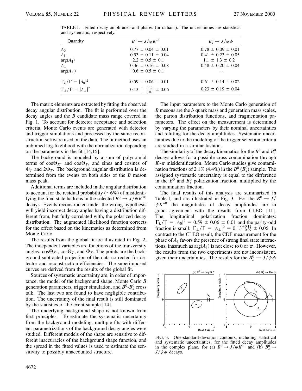| Quantity                                | $B^0 \rightarrow J/\psi K^{*0}$ | $B_s^0 \rightarrow J/\psi \phi$ |
|-----------------------------------------|---------------------------------|---------------------------------|
| $A_0$                                   | $0.77 \pm 0.04 \pm 0.01$        | $0.78 \pm 0.09 \pm 0.01$        |
| $A_{\parallel}$                         | $0.53 \pm 0.11 \pm 0.04$        | $0.41 \pm 0.23 \pm 0.05$        |
| $arg(A_{\parallel})$                    | $2.2 \pm 0.5 \pm 0.1$           | $1.1 \pm 1.3 \pm 0.2$           |
| $A_{\perp}$                             | $0.36 \pm 0.16 \pm 0.08$        | $0.48 \pm 0.20 \pm 0.04$        |
| $arg(A_+)$                              | $-0.6 \pm 0.5 \pm 0.1$          | $\cdots$                        |
| $\Gamma_L/\Gamma =  A_0 ^2$             | $0.59 \pm 0.06 \pm 0.01$        | $0.61 \pm 0.14 \pm 0.02$        |
| $\Gamma_{\perp}/\Gamma =  A_{\perp} ^2$ | $0.13^{+}_{-0.09}$ $\pm 0.06$   | $0.23 \pm 0.19 \pm 0.04$        |

TABLE I. Fitted decay amplitudes and phases (in radians). The uncertainties are statistical and systematic, respectively.

The matrix elements are extracted by fitting the observed decay angular distribution. The fit is performed over the decay angles and the *B* candidate mass range covered in Fig. 1. To account for detector acceptance and selection criteria, Monte Carlo events are generated with detector and trigger simulations and processed by the same reconstruction software used on the data. The fit method uses an unbinned log-likelihood with the normalization depending on the parameters in the fit [14,15].

The background is modeled by a sum of polynomial terms of  $cos\Theta_{K^*}$  and  $cos\Theta_T$ , and sines and cosines of  $\Phi_T$  and  $2\Phi_T$ . The background angular distribution is determined from the events on both sides of the *B* meson mass peak.

Additional terms are included in the angular distribution to account for the residual probability ( $\sim 6\%$ ) of misidentifying the final state hadrons in the selected  $B^0 \rightarrow J/\psi K^{*0}$ decays. Events reconstructed under the wrong hypothesis will yield incorrect decay angles having a distribution different from, but fully correlated with, the polarized decay distribution. The augmented likelihood function corrects for the effect based on the kinematics as determined from Monte Carlo.

The results from the global fit are illustrated in Fig. 2. The independent variables are functions of the transversity angles:  $\cos\Theta_{K^*}$ ,  $\cos\Theta_T$ , and  $\Phi_T$ . The points are the background subtracted projection of the data corrected for detector and reconstruction efficiencies. The superimposed curves are derived from the results of the global fit.

Sources of systematic uncertainty are, in order of importance, the model of the background shape, Monte Carlo *B* generation parameters, trigger simulation, and  $B^0$ - $B_s^0$  cross talk. The last two are found to have negligible contribution. The uncertainty of the final result is still dominated by the statistics of the event sample [14].

The underlying background shape is not known from first principles. To estimate the systematic uncertainty from the background modeling, multiple fits with different parametrizations of the background decay angles were studied. Different models of the shape are sensitive to different inaccuracies of the background shape function, and the spread in the fitted values is used to estimate the sensitivity to possibly unaccounted structure.

The input parameters to the Monte Carlo generation of *B* mesons are the *b* quark mass and generation mass scales, the parton distribution functions, and fragmentation parameters. The effect on the measurement is determined by varying the parameters by their nominal uncertainties and refitting for the decay amplitudes. Systematic uncertainties due to the modeling of the trigger selection criteria are studied in a similar fashion.

The similarity of the decay kinematics for the  $B^0$  and  $B_s^0$ decays allows for a possible cross contamination through  $K-\pi$  misidentification. Monte Carlo studies give contamination fractions of 2.1% (4.4%) in the  $B^0$  ( $B_s^0$ ) sample. The assigned systematic uncertainty is equal to the difference in the  $B^0$  and  $B_s^0$  polarization fraction, multiplied by the contamination fraction.

The final results of this analysis are summarized in Table I, and are illustrated in Fig. 3. For the  $B^0 \rightarrow J/$  $\psi K^{*0}$  the magnitudes of decay amplitudes are in good agreement with the results from CLEO [11]. The longitudinal polarization fraction dominates:  $\Gamma_L/\Gamma = |A_0|^2 = 0.59 \pm 0.06 \pm 0.01$  and the parity-odd fraction is small:  $\Gamma_{\perp}/\Gamma = |A_{\perp}|^2 = 0.13^{+0.12}_{-0.09} \pm 0.06$ . In contrast to the CLEO result, the CDF measurement for the phase of  $A_{\parallel}$  favors the presence of strong final state interactions, inasmuch as  $arg(A_{\parallel})$  is not close to 0 or  $\pi$ . However, the results from the two experiments are not inconsistent, given their uncertainties. The results for the  $B_s^0 \rightarrow J/\psi \phi$ 



FIG. 3. One-standard-deviation contours, including statistical and systematic uncertainties, for the fitted decay amplitudes in the complex plane, for (a)  $B^0 \rightarrow J/\psi K^{*0}$  and (b)  $B_s^0 \rightarrow$  $J/\psi \phi$  decays.